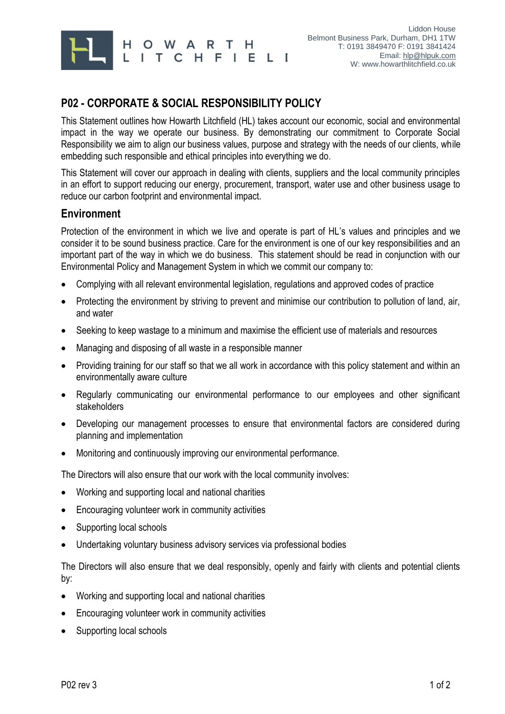

## **P02 - CORPORATE & SOCIAL RESPONSIBILITY POLICY**

This Statement outlines how Howarth Litchfield (HL) takes account our economic, social and environmental impact in the way we operate our business. By demonstrating our commitment to Corporate Social Responsibility we aim to align our business values, purpose and strategy with the needs of our clients, while embedding such responsible and ethical principles into everything we do.

This Statement will cover our approach in dealing with clients, suppliers and the local community principles in an effort to support reducing our energy, procurement, transport, water use and other business usage to reduce our carbon footprint and environmental impact.

## **Environment**

Protection of the environment in which we live and operate is part of HL's values and principles and we consider it to be sound business practice. Care for the environment is one of our key responsibilities and an important part of the way in which we do business. This statement should be read in conjunction with our Environmental Policy and Management System in which we commit our company to:

- Complying with all relevant environmental legislation, regulations and approved codes of practice
- Protecting the environment by striving to prevent and minimise our contribution to pollution of land, air, and water
- Seeking to keep wastage to a minimum and maximise the efficient use of materials and resources
- Managing and disposing of all waste in a responsible manner
- Providing training for our staff so that we all work in accordance with this policy statement and within an environmentally aware culture
- Regularly communicating our environmental performance to our employees and other significant stakeholders
- Developing our management processes to ensure that environmental factors are considered during planning and implementation
- Monitoring and continuously improving our environmental performance.

The Directors will also ensure that our work with the local community involves:

- Working and supporting local and national charities
- Encouraging volunteer work in community activities
- Supporting local schools
- Undertaking voluntary business advisory services via professional bodies

The Directors will also ensure that we deal responsibly, openly and fairly with clients and potential clients by:

- Working and supporting local and national charities
- Encouraging volunteer work in community activities
- Supporting local schools